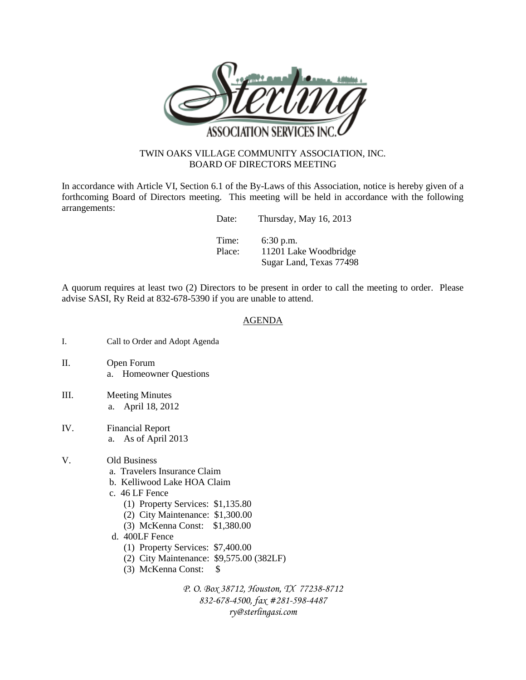

## TWIN OAKS VILLAGE COMMUNITY ASSOCIATION, INC. BOARD OF DIRECTORS MEETING

In accordance with Article VI, Section 6.1 of the By-Laws of this Association, notice is hereby given of a forthcoming Board of Directors meeting. This meeting will be held in accordance with the following arrangements:

| Date:  | Thursday, May 16, 2013  |
|--------|-------------------------|
| Time:  | $6:30$ p.m.             |
| Place: | 11201 Lake Woodbridge   |
|        | Sugar Land, Texas 77498 |

A quorum requires at least two (2) Directors to be present in order to call the meeting to order. Please advise SASI, Ry Reid at 832-678-5390 if you are unable to attend.

## AGENDA

- I. Call to Order and Adopt Agenda
- II. Open Forum a. Homeowner Questions
- III. Meeting Minutes a. April 18, 2012
- IV. Financial Report a. As of April 2013
- V. Old Business
	- a. Travelers Insurance Claim
	- b. Kelliwood Lake HOA Claim
	- c. 46 LF Fence
		- (1) Property Services: \$1,135.80
		- (2) City Maintenance: \$1,300.00
		- (3) McKenna Const: \$1,380.00
	- d. 400LF Fence
		- (1) Property Services: \$7,400.00
		- (2) City Maintenance: \$9,575.00 (382LF)
		- (3) McKenna Const: \$

*P. O. Box 38712, Houston, TX 77238-8712 832-678-4500, fax #281-598-4487 ry@sterlingasi.com*